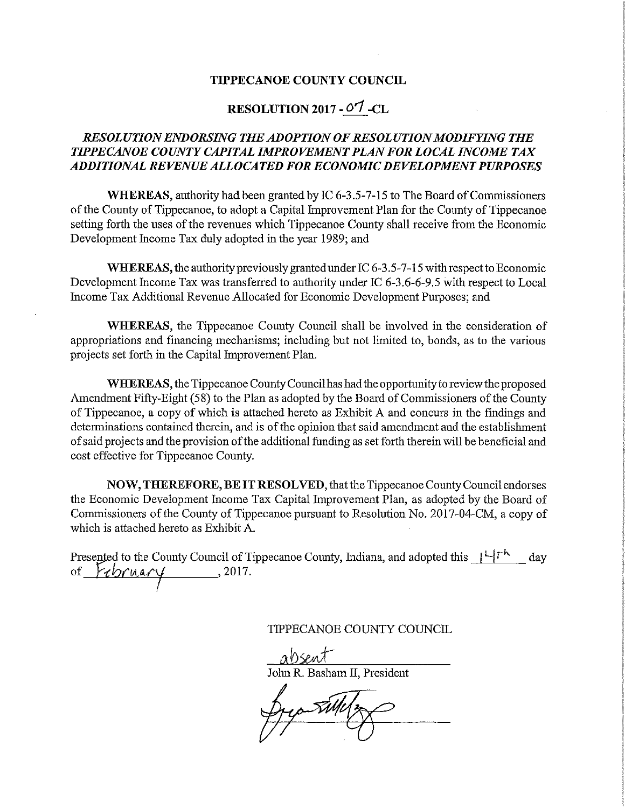## TIPPECANOE COUNTY COUNCIL

## RESOLUTION 2017 - 0'7 —CL

## RESOLUTION ENDORSING THE ADOPTION OF RESOLUTION MODIFYING THE TIPPECANOE COUNTY CAPITAL IMPROVEMENT PLAN FOR LOCAL INCOME TAX ADDITIONAL REVENUE ALLOCATED FOR ECONOMIC DEVELOPMENT PURPOSES

WHEREAS, authority had been granted by TC 6-3.5-7—15 to The Board of Commissioners of the County of Tippecanoe, to adopt <sup>a</sup> Capital Improvement Plan for the County of Tippecanoe setting forth the uses of the revenues Which Tippecanoe County shall receive from the Economic Development Income Tax duly adopted in the year 1989; and

WHEREAS, the authority previously granted under IC  $6-3.5-7-15$  with respect to Economic Development Income Tax was transferred to authority under IC 6-3.6-6—9.5 With respect to Local Income Tax Additional Revenue Allocated for Economic Development Purposes; and

WHEREAS, the Tippecanoe County Council shall be involved in the consideration of appropriations and financing mechanisms; including but not limited to, bonds, as to the various projects set forth in the Capital Improvement Plan.

WHEREAS, the Tippecanoe County Council has had the opportunity to review the proposed Amendment Fifty-Eight (58) to the Plan as adopted by the Board of Commissioners of the County of Tippecanoe, <sup>a</sup> copy of which is attached hereto as Exhibit A and concurs in the findings and determinations contained therein, and is of the opinion that said amendment and the establishment of said projects and the provision ofthe additional funding as set forth therein will be beneficial and cost effective for Tippecanoe County.

NOW, THEREFORE, BE IT RESOLVED, that the Tippecanoe County Council endorses the Economic Development Income Tax Capital Improvement Plan, as adopted by the Board of Commissioners of the County of Tippecanoe pursuant to Resolution No. 2017—04—CM, <sup>a</sup> copy of which is attached hereto as Exhibit A.

Presented to the County Council of Tippecanoe County, Indiana, and adopted this  $\mu$ <sup>-</sup>  $\mu$  day of  $\mu$  , abrasmi , 2017.

TIPPECANOE COUNTY COUNCIL

absent John R. Basham II, President

By Tilly